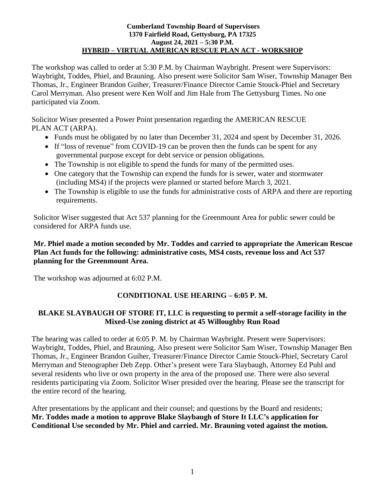#### **Cumberland Township Board of Supervisors 1370 Fairfield Road, Gettysburg, PA 17325 August 24, 2021 – 5:30 P.M. HYBRID – VIRTUAL AMERICAN RESCUE PLAN ACT - WORKSHOP**

The workshop was called to order at 5:30 P.M. by Chairman Waybright. Present were Supervisors: Waybright, Toddes, Phiel, and Brauning. Also present were Solicitor Sam Wiser, Township Manager Ben Thomas, Jr., Engineer Brandon Guiher, Treasurer/Finance Director Camie Stouck-Phiel and Secretary Carol Merryman. Also present were Ken Wolf and Jim Hale from The Gettysburg Times. No one participated via Zoom.

Solicitor Wiser presented a Power Point presentation regarding the AMERICAN RESCUE PLAN ACT (ARPA).

- Funds must be obligated by no later than December 31, 2024 and spent by December 31, 2026.
- If "loss of revenue" from COVID-19 can be proven then the funds can be spent for any governmental purpose except for debt service or pension obligations.
- The Township is not eligible to spend the funds for many of the permitted uses.
- One category that the Township can expend the funds for is sewer, water and stormwater (including MS4) if the projects were planned or started before March 3, 2021.
- The Township is eligible to use the funds for administrative costs of ARPA and there are reporting requirements.

Solicitor Wiser suggested that Act 537 planning for the Greenmount Area for public sewer could be considered for ARPA funds use.

#### **Mr. Phiel made a motion seconded by Mr. Toddes and carried to appropriate the American Rescue Plan Act funds for the following: administrative costs, MS4 costs, revenue loss and Act 537 planning for the Greenmount Area.**

The workshop was adjourned at 6:02 P.M.

# **CONDITIONAL USE HEARING – 6:05 P. M.**

### **BLAKE SLAYBAUGH OF STORE IT, LLC is requesting to permit a self-storage facility in the Mixed-Use zoning district at 45 Willoughby Run Road**

The hearing was called to order at 6:05 P. M. by Chairman Waybright. Present were Supervisors: Waybright, Toddes, Phiel, and Brauning. Also present were Solicitor Sam Wiser, Township Manager Ben Thomas, Jr., Engineer Brandon Guiher, Treasurer/Finance Director Camie Stouck-Phiel, Secretary Carol Merryman and Stenographer Deb Zepp. Other's present were Tara Slaybaugh, Attorney Ed Puhl and several residents who live or own property in the area of the proposed use. There were also several residents participating via Zoom. Solicitor Wiser presided over the hearing. Please see the transcript for the entire record of the hearing.

After presentations by the applicant and their counsel; and questions by the Board and residents; **Mr. Toddes made a motion to approve Blake Slaybaugh of Store It LLC's application for Conditional Use seconded by Mr. Phiel and carried. Mr. Brauning voted against the motion.**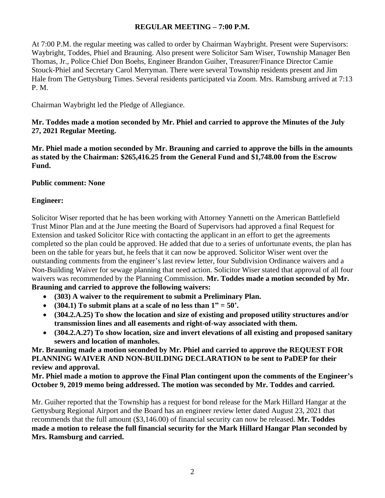#### **REGULAR MEETING – 7:00 P.M.**

At 7:00 P.M. the regular meeting was called to order by Chairman Waybright. Present were Supervisors: Waybright, Toddes, Phiel and Brauning. Also present were Solicitor Sam Wiser, Township Manager Ben Thomas, Jr., Police Chief Don Boehs, Engineer Brandon Guiher, Treasurer/Finance Director Camie Stouck-Phiel and Secretary Carol Merryman. There were several Township residents present and Jim Hale from The Gettysburg Times. Several residents participated via Zoom. Mrs. Ramsburg arrived at 7:13 P. M.

Chairman Waybright led the Pledge of Allegiance.

### **Mr. Toddes made a motion seconded by Mr. Phiel and carried to approve the Minutes of the July 27, 2021 Regular Meeting.**

**Mr. Phiel made a motion seconded by Mr. Brauning and carried to approve the bills in the amounts as stated by the Chairman: \$265,416.25 from the General Fund and \$1,748.00 from the Escrow Fund.**

## **Public comment: None**

## **Engineer:**

Solicitor Wiser reported that he has been working with Attorney Yannetti on the American Battlefield Trust Minor Plan and at the June meeting the Board of Supervisors had approved a final Request for Extension and tasked Solicitor Rice with contacting the applicant in an effort to get the agreements completed so the plan could be approved. He added that due to a series of unfortunate events, the plan has been on the table for years but, he feels that it can now be approved. Solicitor Wiser went over the outstanding comments from the engineer's last review letter, four Subdivision Ordinance waivers and a Non-Building Waiver for sewage planning that need action. Solicitor Wiser stated that approval of all four waivers was recommended by the Planning Commission. **Mr. Toddes made a motion seconded by Mr. Brauning and carried to approve the following waivers:**

- **(303) A waiver to the requirement to submit a Preliminary Plan.**
- $(304.1)$  To submit plans at a scale of no less than  $1" = 50'$ .
- **(304.2.A.25) To show the location and size of existing and proposed utility structures and/or transmission lines and all easements and right-of-way associated with them.**
- **(304.2.A.27) To show location, size and invert elevations of all existing and proposed sanitary sewers and location of manholes.**

**Mr. Brauning made a motion seconded by Mr. Phiel and carried to approve the REQUEST FOR PLANNING WAIVER AND NON-BUILDING DECLARATION to be sent to PaDEP for their review and approval.**

**Mr. Phiel made a motion to approve the Final Plan contingent upon the comments of the Engineer's October 9, 2019 memo being addressed. The motion was seconded by Mr. Toddes and carried.** 

Mr. Guiher reported that the Township has a request for bond release for the Mark Hillard Hangar at the Gettysburg Regional Airport and the Board has an engineer review letter dated August 23, 2021 that recommends that the full amount (\$3,146.00) of financial security can now be released. **Mr. Toddes made a motion to release the full financial security for the Mark Hillard Hangar Plan seconded by Mrs. Ramsburg and carried.**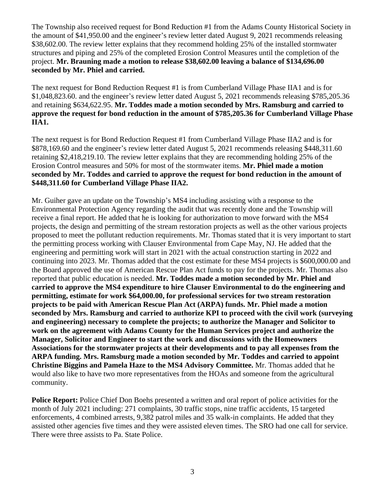The Township also received request for Bond Reduction #1 from the Adams County Historical Society in the amount of \$41,950.00 and the engineer's review letter dated August 9, 2021 recommends releasing \$38,602.00. The review letter explains that they recommend holding 25% of the installed stormwater structures and piping and 25% of the completed Erosion Control Measures until the completion of the project. **Mr. Brauning made a motion to release \$38,602.00 leaving a balance of \$134,696.00 seconded by Mr. Phiel and carried.**

The next request for Bond Reduction Request #1 is from Cumberland Village Phase IIA1 and is for \$1,048,823.60. and the engineer's review letter dated August 5, 2021 recommends releasing \$785,205.36 and retaining \$634,622.95. **Mr. Toddes made a motion seconded by Mrs. Ramsburg and carried to approve the request for bond reduction in the amount of \$785,205.36 for Cumberland Village Phase IIA1.**

The next request is for Bond Reduction Request #1 from Cumberland Village Phase IIA2 and is for \$878,169.60 and the engineer's review letter dated August 5, 2021 recommends releasing \$448,311.60 retaining \$2,418,219.10. The review letter explains that they are recommending holding 25% of the Erosion Control measures and 50% for most of the stormwater items. **Mr. Phiel made a motion seconded by Mr. Toddes and carried to approve the request for bond reduction in the amount of \$448,311.60 for Cumberland Village Phase IIA2.**

Mr. Guiher gave an update on the Township's MS4 including assisting with a response to the Environmental Protection Agency regarding the audit that was recently done and the Township will receive a final report. He added that he is looking for authorization to move forward with the MS4 projects, the design and permitting of the stream restoration projects as well as the other various projects proposed to meet the pollutant reduction requirements. Mr. Thomas stated that it is very important to start the permitting process working with Clauser Environmental from Cape May, NJ. He added that the engineering and permitting work will start in 2021 with the actual construction starting in 2022 and continuing into 2023. Mr. Thomas added that the cost estimate for these MS4 projects is \$600,000.00 and the Board approved the use of American Rescue Plan Act funds to pay for the projects. Mr. Thomas also reported that public education is needed. **Mr. Toddes made a motion seconded by Mr. Phiel and carried to approve the MS4 expenditure to hire Clauser Environmental to do the engineering and permitting, estimate for work \$64,000.00, for professional services for two stream restoration projects to be paid with American Rescue Plan Act (ARPA) funds. Mr. Phiel made a motion seconded by Mrs. Ramsburg and carried to authorize KPI to proceed with the civil work (surveying and engineering) necessary to complete the projects; to authorize the Manager and Solicitor to work on the agreement with Adams County for the Human Services project and authorize the Manager, Solicitor and Engineer to start the work and discussions with the Homeowners Associations for the stormwater projects at their developments and to pay all expenses from the ARPA funding. Mrs. Ramsburg made a motion seconded by Mr. Toddes and carried to appoint Christine Biggins and Pamela Haze to the MS4 Advisory Committee.** Mr. Thomas added that he would also like to have two more representatives from the HOAs and someone from the agricultural community.

**Police Report:** Police Chief Don Boehs presented a written and oral report of police activities for the month of July 2021 including: 271 complaints, 30 traffic stops, nine traffic accidents, 15 targeted enforcements, 4 combined arrests, 9,382 patrol miles and 35 walk-in complaints. He added that they assisted other agencies five times and they were assisted eleven times. The SRO had one call for service. There were three assists to Pa. State Police.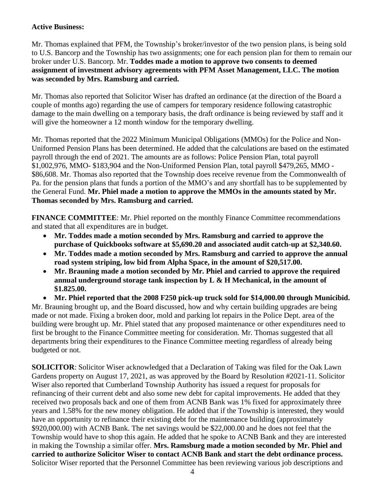#### **Active Business:**

Mr. Thomas explained that PFM, the Township's broker/investor of the two pension plans, is being sold to U.S. Bancorp and the Township has two assignments; one for each pension plan for them to remain our broker under U.S. Bancorp. Mr. **Toddes made a motion to approve two consents to deemed assignment of investment advisory agreements with PFM Asset Management, LLC. The motion was seconded by Mrs. Ramsburg and carried.** 

Mr. Thomas also reported that Solicitor Wiser has drafted an ordinance (at the direction of the Board a couple of months ago) regarding the use of campers for temporary residence following catastrophic damage to the main dwelling on a temporary basis, the draft ordinance is being reviewed by staff and it will give the homeowner a 12 month window for the temporary dwelling.

Mr. Thomas reported that the 2022 Minimum Municipal Obligations (MMOs) for the Police and Non-Uniformed Pension Plans has been determined. He added that the calculations are based on the estimated payroll through the end of 2021. The amounts are as follows: Police Pension Plan, total payroll \$1,002,976, MMO- \$183,904 and the Non-Uniformed Pension Plan, total payroll \$479,265, MMO - \$86,608. Mr. Thomas also reported that the Township does receive revenue from the Commonwealth of Pa. for the pension plans that funds a portion of the MMO's and any shortfall has to be supplemented by the General Fund. **Mr. Phiel made a motion to approve the MMOs in the amounts stated by Mr. Thomas seconded by Mrs. Ramsburg and carried.**

**FINANCE COMMITTEE**: Mr. Phiel reported on the monthly Finance Committee recommendations and stated that all expenditures are in budget.

- **Mr. Toddes made a motion seconded by Mrs. Ramsburg and carried to approve the purchase of Quickbooks software at \$5,690.20 and associated audit catch-up at \$2,340.60.**
- **Mr. Toddes made a motion seconded by Mrs. Ramsburg and carried to approve the annual road system striping, low bid from Alpha Space, in the amount of \$20,517.00.**
- **Mr. Brauning made a motion seconded by Mr. Phiel and carried to approve the required annual underground storage tank inspection by L & H Mechanical, in the amount of \$1.825.00.**
- **Mr. Phiel reported that the 2008 F250 pick-up truck sold for \$14,000.00 through Municibid.**

Mr. Brauning brought up, and the Board discussed, how and why certain building upgrades are being made or not made. Fixing a broken door, mold and parking lot repairs in the Police Dept. area of the building were brought up. Mr. Phiel stated that any proposed maintenance or other expenditures need to first be brought to the Finance Committee meeting for consideration. Mr. Thomas suggested that all departments bring their expenditures to the Finance Committee meeting regardless of already being budgeted or not.

**SOLICITOR**: Solicitor Wiser acknowledged that a Declaration of Taking was filed for the Oak Lawn Gardens property on August 17, 2021, as was approved by the Board by Resolution #2021-11. Solicitor Wiser also reported that Cumberland Township Authority has issued a request for proposals for refinancing of their current debt and also some new debt for capital improvements. He added that they received two proposals back and one of them from ACNB Bank was 1% fixed for approximately three years and 1.58% for the new money obligation. He added that if the Township is interested, they would have an opportunity to refinance their existing debt for the maintenance building (approximately \$920,000.00) with ACNB Bank. The net savings would be \$22,000.00 and he does not feel that the Township would have to shop this again. He added that he spoke to ACNB Bank and they are interested in making the Township a similar offer. **Mrs. Ramsburg made a motion seconded by Mr. Phiel and carried to authorize Solicitor Wiser to contact ACNB Bank and start the debt ordinance process.**  Solicitor Wiser reported that the Personnel Committee has been reviewing various job descriptions and